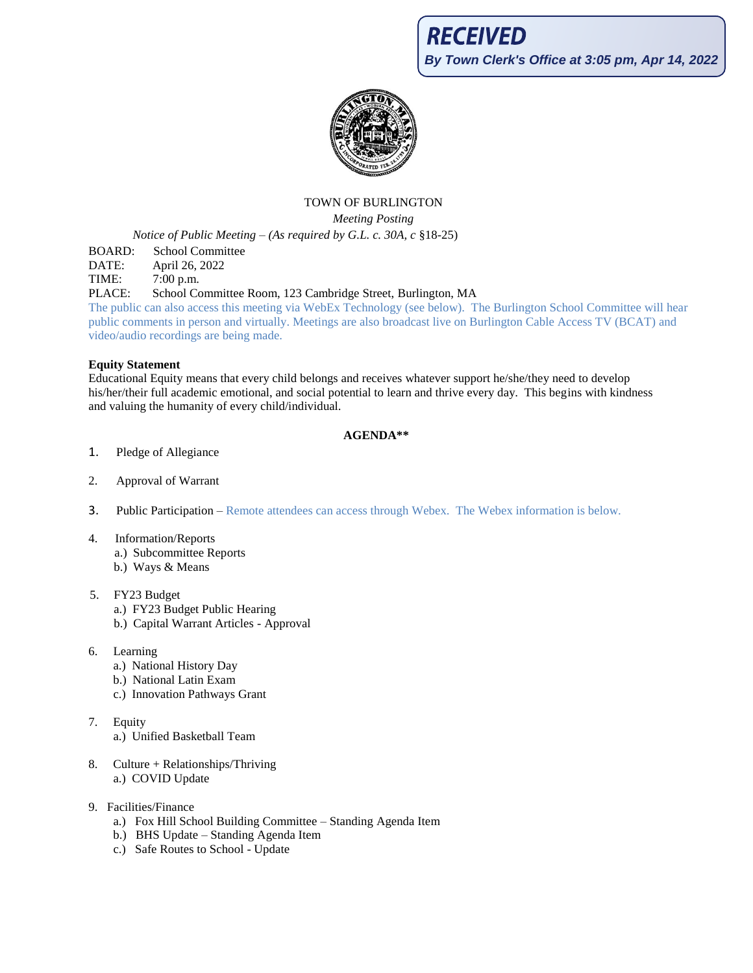**RECEIVED** 

**By Town Clerk's Office at 3:05 pm, Apr 14, 2022**



## TOWN OF BURLINGTON

*Meeting Posting*

*Notice of Public Meeting – (As required by G.L. c. 30A, c* §18-25)

BOARD: School Committee

DATE: April 26, 2022

TIME: 7:00 p.m.

PLACE: School Committee Room, 123 Cambridge Street, Burlington, MA

The public can also access this meeting via WebEx Technology (see below). The Burlington School Committee will hear public comments in person and virtually. Meetings are also broadcast live on Burlington Cable Access TV (BCAT) and video/audio recordings are being made.

### **Equity Statement**

Educational Equity means that every child belongs and receives whatever support he/she/they need to develop his/her/their full academic emotional, and social potential to learn and thrive every day. This begins with kindness and valuing the humanity of every child/individual.

### **AGENDA\*\***

- 1. Pledge of Allegiance
- 2. Approval of Warrant
- 3. Public Participation Remote attendees can access through Webex. The Webex information is below.
- 4. Information/Reports a.) Subcommittee Reports b.) Ways & Means
- 5. FY23 Budget
	- a.) FY23 Budget Public Hearing
	- b.) Capital Warrant Articles Approval
- 6. Learning
	- a.) National History Day
	- b.) National Latin Exam
	- c.) Innovation Pathways Grant
- 7. Equity
	- a.) Unified Basketball Team
- 8. Culture + Relationships/Thriving a.) COVID Update
- 9. Facilities/Finance
	- a.) Fox Hill School Building Committee Standing Agenda Item
	- b.) BHS Update Standing Agenda Item
	- c.) Safe Routes to School Update